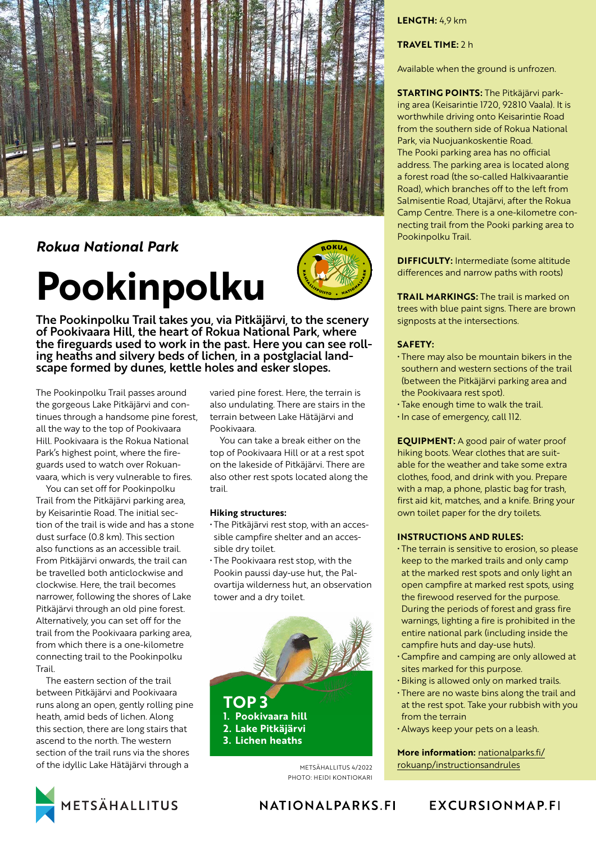

# *Rokua National Park*

# **Pookinpolku**



The Pookinpolku Trail takes you, via Pitkäjärvi, to the scenery of Pookivaara Hill, the heart of Rokua National Park, where the fireguards used to work in the past. Here you can see rolling heaths and silvery beds of lichen, in a postglacial landscape formed by dunes, kettle holes and esker slopes.

The Pookinpolku Trail passes around the gorgeous Lake Pitkäjärvi and continues through a handsome pine forest, all the way to the top of Pookivaara Hill. Pookivaara is the Rokua National Park's highest point, where the fireguards used to watch over Rokuanvaara, which is very vulnerable to fires.

You can set off for Pookinpolku Trail from the Pitkäjärvi parking area, by Keisarintie Road. The initial section of the trail is wide and has a stone dust surface (0.8 km). This section also functions as an accessible trail. From Pitkäjärvi onwards, the trail can be travelled both anticlockwise and clockwise. Here, the trail becomes narrower, following the shores of Lake Pitkäjärvi through an old pine forest. Alternatively, you can set off for the trail from the Pookivaara parking area, from which there is a one-kilometre connecting trail to the Pookinpolku Trail.

The eastern section of the trail between Pitkäjärvi and Pookivaara runs along an open, gently rolling pine heath, amid beds of lichen. Along this section, there are long stairs that ascend to the north. The western section of the trail runs via the shores of the idyllic Lake Hätäjärvi through a



varied pine forest. Here, the terrain is also undulating. There are stairs in the terrain between Lake Hätäjärvi and Pookivaara.

You can take a break either on the top of Pookivaara Hill or at a rest spot on the lakeside of Pitkäjärvi. There are also other rest spots located along the trail.

#### **Hiking structures:**

• The Pitkäjärvi rest stop, with an accessible campfire shelter and an accessible dry toilet.

• The Pookivaara rest stop, with the Pookin paussi day-use hut, the Palovartija wilderness hut, an observation tower and a dry toilet.



METSÄHALLITUS 4/2022 PHOTO: HEIDI KONTIOKARI

# **LENGTH:** 4,9 km

# **TRAVEL TIME:** 2 h

Available when the ground is unfrozen.

**STARTING POINTS:** The Pitkäjärvi parking area (Keisarintie 1720, 92810 Vaala). It is worthwhile driving onto Keisarintie Road from the southern side of Rokua National Park, via Nuojuankoskentie Road. The Pooki parking area has no official address. The parking area is located along a forest road (the so-called Halkivaarantie Road), which branches off to the left from Salmisentie Road, Utajärvi, after the Rokua Camp Centre. There is a one-kilometre connecting trail from the Pooki parking area to Pookinpolku Trail.

**DIFFICULTY:** Intermediate (some altitude differences and narrow paths with roots)

**TRAIL MARKINGS:** The trail is marked on trees with blue paint signs. There are brown signposts at the intersections.

### **SAFETY:**

- There may also be mountain bikers in the southern and western sections of the trail (between the Pitkäjärvi parking area and the Pookivaara rest spot).
- Take enough time to walk the trail.
- In case of emergency, call 112.

**EQUIPMENT:** A good pair of water proof hiking boots. Wear clothes that are suitable for the weather and take some extra clothes, food, and drink with you. Prepare with a map, a phone, plastic bag for trash. first aid kit, matches, and a knife. Bring your own toilet paper for the dry toilets.

### **INSTRUCTIONS AND RULES:**

- The terrain is sensitive to erosion, so please keep to the marked trails and only camp at the marked rest spots and only light an open campfire at marked rest spots, using the firewood reserved for the purpose. During the periods of forest and grass fire warnings, lighting a fire is prohibited in the entire national park (including inside the campfire huts and day-use huts).
- Campfire and camping are only allowed at sites marked for this purpose.
- Biking is allowed only on marked trails.
- There are no waste bins along the trail and at the rest spot. Take your rubbish with you from the terrain
- Always keep your pets on a leash.

**More information:** [nationalparks.fi/](https://www.nationalparks.fi/rokuanp/instructionsandrules) [rokuanp/instructionsandrules](https://www.nationalparks.fi/rokuanp/instructionsandrules)

NATIONALPARKS FI